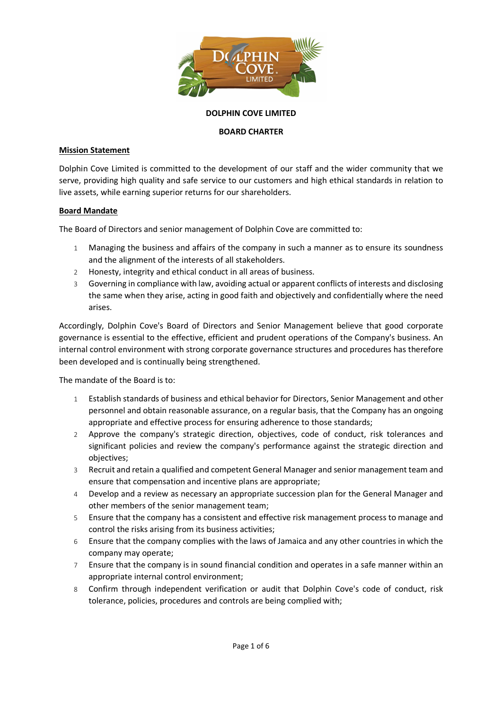

# DOLPHIN COVE LIMITED

## BOARD CHARTER

# Mission Statement

Dolphin Cove Limited is committed to the development of our staff and the wider community that we serve, providing high quality and safe service to our customers and high ethical standards in relation to live assets, while earning superior returns for our shareholders.

## Board Mandate

The Board of Directors and senior management of Dolphin Cove are committed to:

- 1 Managing the business and affairs of the company in such a manner as to ensure its soundness and the alignment of the interests of all stakeholders.
- 2 Honesty, integrity and ethical conduct in all areas of business.
- 3 Governing in compliance with law, avoiding actual or apparent conflicts of interests and disclosing the same when they arise, acting in good faith and objectively and confidentially where the need arises.

Accordingly, Dolphin Cove's Board of Directors and Senior Management believe that good corporate governance is essential to the effective, efficient and prudent operations of the Company's business. An internal control environment with strong corporate governance structures and procedures has therefore been developed and is continually being strengthened.

The mandate of the Board is to:

- 1 Establish standards of business and ethical behavior for Directors, Senior Management and other personnel and obtain reasonable assurance, on a regular basis, that the Company has an ongoing appropriate and effective process for ensuring adherence to those standards;
- 2 Approve the company's strategic direction, objectives, code of conduct, risk tolerances and significant policies and review the company's performance against the strategic direction and objectives;
- 3 Recruit and retain a qualified and competent General Manager and senior management team and ensure that compensation and incentive plans are appropriate;
- 4 Develop and a review as necessary an appropriate succession plan for the General Manager and other members of the senior management team;
- 5 Ensure that the company has a consistent and effective risk management process to manage and control the risks arising from its business activities;
- 6 Ensure that the company complies with the laws of Jamaica and any other countries in which the company may operate;
- 7 Ensure that the company is in sound financial condition and operates in a safe manner within an appropriate internal control environment;
- 8 Confirm through independent verification or audit that Dolphin Cove's code of conduct, risk tolerance, policies, procedures and controls are being complied with;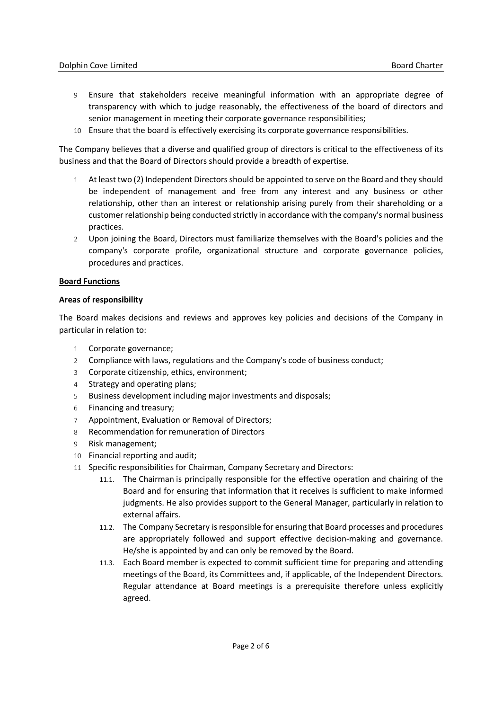- 9 Ensure that stakeholders receive meaningful information with an appropriate degree of transparency with which to judge reasonably, the effectiveness of the board of directors and senior management in meeting their corporate governance responsibilities;
- 10 Ensure that the board is effectively exercising its corporate governance responsibilities.

The Company believes that a diverse and qualified group of directors is critical to the effectiveness of its business and that the Board of Directors should provide a breadth of expertise.

- 1 At least two (2) Independent Directors should be appointed to serve on the Board and they should be independent of management and free from any interest and any business or other relationship, other than an interest or relationship arising purely from their shareholding or a customer relationship being conducted strictly in accordance with the company's normal business practices.
- 2 Upon joining the Board, Directors must familiarize themselves with the Board's policies and the company's corporate profile, organizational structure and corporate governance policies, procedures and practices.

## Board Functions

## Areas of responsibility

The Board makes decisions and reviews and approves key policies and decisions of the Company in particular in relation to:

- 1 Corporate governance;
- 2 Compliance with laws, regulations and the Company's code of business conduct;
- 3 Corporate citizenship, ethics, environment;
- 4 Strategy and operating plans;
- 5 Business development including major investments and disposals;
- 6 Financing and treasury;
- 7 Appointment, Evaluation or Removal of Directors;
- 8 Recommendation for remuneration of Directors
- 9 Risk management;
- 10 Financial reporting and audit;
- 11 Specific responsibilities for Chairman, Company Secretary and Directors:
	- 11.1. The Chairman is principally responsible for the effective operation and chairing of the Board and for ensuring that information that it receives is sufficient to make informed judgments. He also provides support to the General Manager, particularly in relation to external affairs.
	- 11.2. The Company Secretary is responsible for ensuring that Board processes and procedures are appropriately followed and support effective decision-making and governance. He/she is appointed by and can only be removed by the Board.
	- 11.3. Each Board member is expected to commit sufficient time for preparing and attending meetings of the Board, its Committees and, if applicable, of the Independent Directors. Regular attendance at Board meetings is a prerequisite therefore unless explicitly agreed.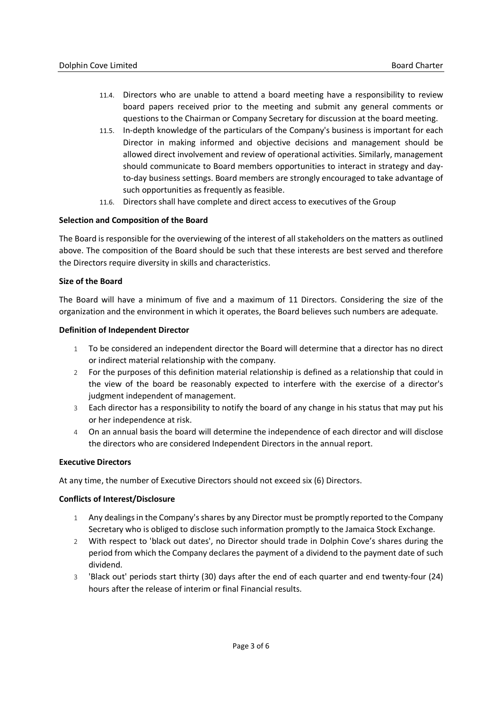- 11.4. Directors who are unable to attend a board meeting have a responsibility to review board papers received prior to the meeting and submit any general comments or questions to the Chairman or Company Secretary for discussion at the board meeting.
- 11.5. In-depth knowledge of the particulars of the Company's business is important for each Director in making informed and objective decisions and management should be allowed direct involvement and review of operational activities. Similarly, management should communicate to Board members opportunities to interact in strategy and dayto-day business settings. Board members are strongly encouraged to take advantage of such opportunities as frequently as feasible.
- 11.6. Directors shall have complete and direct access to executives of the Group

## Selection and Composition of the Board

The Board is responsible for the overviewing of the interest of all stakeholders on the matters as outlined above. The composition of the Board should be such that these interests are best served and therefore the Directors require diversity in skills and characteristics.

## Size of the Board

The Board will have a minimum of five and a maximum of 11 Directors. Considering the size of the organization and the environment in which it operates, the Board believes such numbers are adequate.

#### Definition of Independent Director

- 1 To be considered an independent director the Board will determine that a director has no direct or indirect material relationship with the company.
- 2 For the purposes of this definition material relationship is defined as a relationship that could in the view of the board be reasonably expected to interfere with the exercise of a director's judgment independent of management.
- 3 Each director has a responsibility to notify the board of any change in his status that may put his or her independence at risk.
- 4 On an annual basis the board will determine the independence of each director and will disclose the directors who are considered Independent Directors in the annual report.

#### Executive Directors

At any time, the number of Executive Directors should not exceed six (6) Directors.

#### Conflicts of Interest/Disclosure

- 1 Any dealings in the Company's shares by any Director must be promptly reported to the Company Secretary who is obliged to disclose such information promptly to the Jamaica Stock Exchange.
- 2 With respect to 'black out dates', no Director should trade in Dolphin Cove's shares during the period from which the Company declares the payment of a dividend to the payment date of such dividend.
- 3 'Black out' periods start thirty (30) days after the end of each quarter and end twenty-four (24) hours after the release of interim or final Financial results.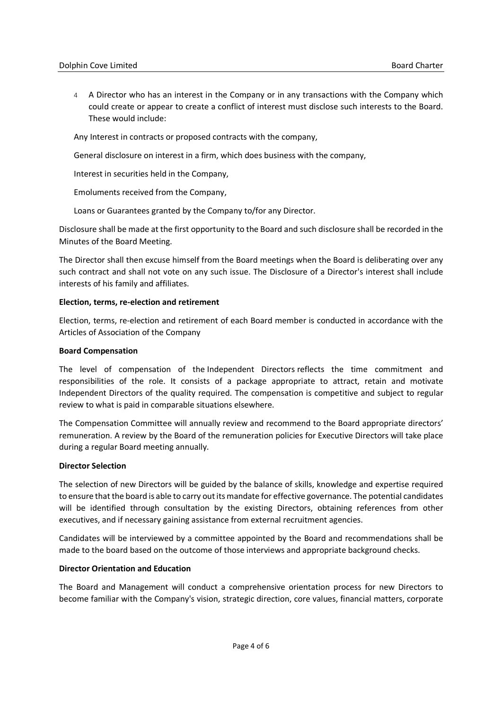4 A Director who has an interest in the Company or in any transactions with the Company which could create or appear to create a conflict of interest must disclose such interests to the Board. These would include:

Any Interest in contracts or proposed contracts with the company,

General disclosure on interest in a firm, which does business with the company,

Interest in securities held in the Company,

Emoluments received from the Company,

Loans or Guarantees granted by the Company to/for any Director.

Disclosure shall be made at the first opportunity to the Board and such disclosure shall be recorded in the Minutes of the Board Meeting.

The Director shall then excuse himself from the Board meetings when the Board is deliberating over any such contract and shall not vote on any such issue. The Disclosure of a Director's interest shall include interests of his family and affiliates.

## Election, terms, re-election and retirement

Election, terms, re-election and retirement of each Board member is conducted in accordance with the Articles of Association of the Company

#### Board Compensation

The level of compensation of the Independent Directors reflects the time commitment and responsibilities of the role. It consists of a package appropriate to attract, retain and motivate Independent Directors of the quality required. The compensation is competitive and subject to regular review to what is paid in comparable situations elsewhere.

The Compensation Committee will annually review and recommend to the Board appropriate directors' remuneration. A review by the Board of the remuneration policies for Executive Directors will take place during a regular Board meeting annually.

#### Director Selection

The selection of new Directors will be guided by the balance of skills, knowledge and expertise required to ensure that the board is able to carry out its mandate for effective governance. The potential candidates will be identified through consultation by the existing Directors, obtaining references from other executives, and if necessary gaining assistance from external recruitment agencies.

Candidates will be interviewed by a committee appointed by the Board and recommendations shall be made to the board based on the outcome of those interviews and appropriate background checks.

#### Director Orientation and Education

The Board and Management will conduct a comprehensive orientation process for new Directors to become familiar with the Company's vision, strategic direction, core values, financial matters, corporate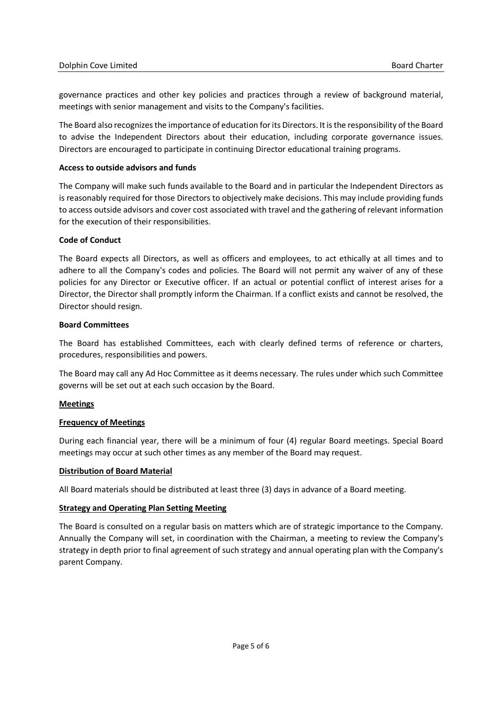governance practices and other key policies and practices through a review of background material, meetings with senior management and visits to the Company's facilities.

The Board also recognizes the importance of education for its Directors. It is the responsibility of the Board to advise the Independent Directors about their education, including corporate governance issues. Directors are encouraged to participate in continuing Director educational training programs.

# Access to outside advisors and funds

The Company will make such funds available to the Board and in particular the Independent Directors as is reasonably required for those Directors to objectively make decisions. This may include providing funds to access outside advisors and cover cost associated with travel and the gathering of relevant information for the execution of their responsibilities.

# Code of Conduct

The Board expects all Directors, as well as officers and employees, to act ethically at all times and to adhere to all the Company's codes and policies. The Board will not permit any waiver of any of these policies for any Director or Executive officer. If an actual or potential conflict of interest arises for a Director, the Director shall promptly inform the Chairman. If a conflict exists and cannot be resolved, the Director should resign.

# Board Committees

The Board has established Committees, each with clearly defined terms of reference or charters, procedures, responsibilities and powers.

The Board may call any Ad Hoc Committee as it deems necessary. The rules under which such Committee governs will be set out at each such occasion by the Board.

# Meetings

# Frequency of Meetings

During each financial year, there will be a minimum of four (4) regular Board meetings. Special Board meetings may occur at such other times as any member of the Board may request.

# Distribution of Board Material

All Board materials should be distributed at least three (3) days in advance of a Board meeting.

# Strategy and Operating Plan Setting Meeting

The Board is consulted on a regular basis on matters which are of strategic importance to the Company. Annually the Company will set, in coordination with the Chairman, a meeting to review the Company's strategy in depth prior to final agreement of such strategy and annual operating plan with the Company's parent Company.